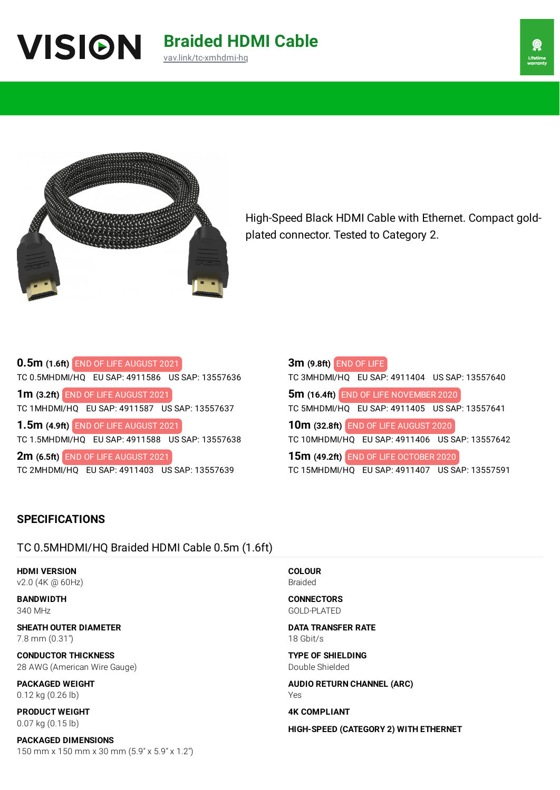# **Braided HDMI Cable** [vav.link/tc-xmhdmi-hq](https://vav.link/tc-xmhdmi-hq)



High-Speed Black HDMI Cable with Ethernet. Compact goldplated connector. Tested to Category 2.

## **0.5m (1.6ft)** END OF LIFE AUGUST 2021 TC 0.5MHDMI/HQ EU SAP: 4911586 US SAP: 13557636 **1m (3.2ft)** END OF LIFE AUGUST 2021 TC 1MHDMI/HQ EU SAP: 4911587 US SAP: 13557637

**1.5m (4.9ft)** END OF LIFE AUGUST 2021 TC 1.5MHDMI/HQ EU SAP: 4911588 US SAP: 13557638

**2m (6.5ft)** END OF LIFE AUGUST 2021 TC 2MHDMI/HQ EU SAP: 4911403 US SAP: 13557639

| 3m (9.8ft) END OF LIFE                         |  |  |  |
|------------------------------------------------|--|--|--|
| TC 3MHDMI/HQ EU SAP: 4911404 US SAP: 13557640  |  |  |  |
| 5m (16.4ft) END OF LIFE NOVEMBER 2020          |  |  |  |
| TC 5MHDMI/HQ EU SAP: 4911405 US SAP: 13557641  |  |  |  |
| 10m (32.8ft) END OF LIFE AUGUST 2020           |  |  |  |
| TC 10MHDMI/HQ EU SAP: 4911406 US SAP: 13557642 |  |  |  |
| 15m (49.2ft) END OF LIFE OCTOBER 2020          |  |  |  |
| TC 15MHDMI/HQ EU SAP: 4911407 US SAP: 13557591 |  |  |  |

## **SPECIFICATIONS**

## TC 0.5MHDMI/HQ Braided HDMI Cable 0.5m (1.6ft)

**HDMI VERSION** v2.0 (4K @ 60Hz)

**BANDWIDTH** 340 MHz

**SHEATH OUTER DIAMETER** 7.8 mm (0.31")

**CONDUCTOR THICKNESS** 28 AWG (American Wire Gauge)

**PACKAGED WEIGHT** 0.12 kg (0.26 lb)

**PRODUCT WEIGHT** 0.07 kg (0.15 lb)

**PACKAGED DIMENSIONS** 150 mm x 150 mm x 30 mm (5.9" x 5.9" x 1.2") **COLOUR** Braided

**CONNECTORS** GOLD-PLATED

**DATA TRANSFER RATE** 18 Gbit/s

**TYPE OF SHIELDING** Double Shielded

**AUDIO RETURN CHANNEL (ARC)** Yes

**4K COMPLIANT**

**HIGH-SPEED (CATEGORY 2) WITH ETHERNET**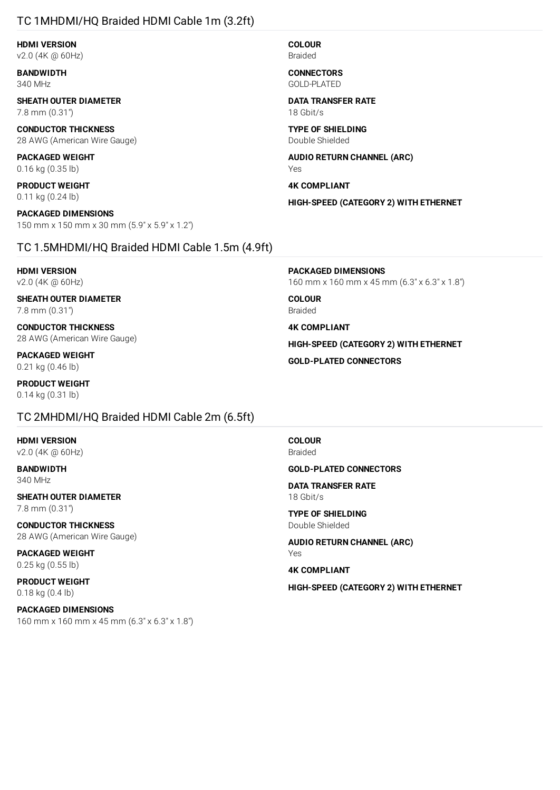### TC 1MHDMI/HQ Braided HDMI Cable 1m (3.2ft)

**HDMI VERSION** v2.0 (4K @ 60Hz)

**BANDWIDTH** 340 MHz

**SHEATH OUTER DIAMETER** 7.8 mm (0.31")

**CONDUCTOR THICKNESS** 28 AWG (American Wire Gauge)

**PACKAGED WEIGHT** 0.16 kg (0.35 lb)

**PRODUCT WEIGHT** 0.11 kg (0.24 lb)

**PACKAGED DIMENSIONS** 150 mm x 150 mm x 30 mm (5.9" x 5.9" x 1.2")

#### TC 1.5MHDMI/HQ Braided HDMI Cable 1.5m (4.9ft)

**HDMI VERSION** v2.0 (4K @ 60Hz)

**SHEATH OUTER DIAMETER** 7.8 mm (0.31")

**CONDUCTOR THICKNESS** 28 AWG (American Wire Gauge)

**PACKAGED WEIGHT** 0.21 kg (0.46 lb)

**PRODUCT WEIGHT** 0.14 kg (0.31 lb)

#### TC 2MHDMI/HQ Braided HDMI Cable 2m (6.5ft)

**HDMI VERSION** v2.0 (4K @ 60Hz)

**BANDWIDTH** 340 MHz

**SHEATH OUTER DIAMETER** 7.8 mm (0.31")

**CONDUCTOR THICKNESS** 28 AWG (American Wire Gauge)

**PACKAGED WEIGHT** 0.25 kg (0.55 lb)

**PRODUCT WEIGHT** 0.18 kg (0.4 lb)

**PACKAGED DIMENSIONS** 160 mm x 160 mm x 45 mm (6.3" x 6.3" x 1.8") **COLOUR** Braided

**CONNECTORS** GOLD-PLATED

**DATA TRANSFER RATE** 18 Gbit/s

**TYPE OF SHIELDING** Double Shielded

**AUDIO RETURN CHANNEL (ARC)** Yes

**4K COMPLIANT**

**HIGH-SPEED (CATEGORY 2) WITH ETHERNET**

**PACKAGED DIMENSIONS**

160 mm x 160 mm x 45 mm (6.3" x 6.3" x 1.8")

**COLOUR** Braided

**4K COMPLIANT**

**HIGH-SPEED (CATEGORY 2) WITH ETHERNET**

**GOLD-PLATED CONNECTORS**

**COLOUR** Braided

**GOLD-PLATED CONNECTORS**

**DATA TRANSFER RATE** 18 Gbit/s

**TYPE OF SHIELDING** Double Shielded

**AUDIO RETURN CHANNEL (ARC)** Yes

**4K COMPLIANT**

**HIGH-SPEED (CATEGORY 2) WITH ETHERNET**